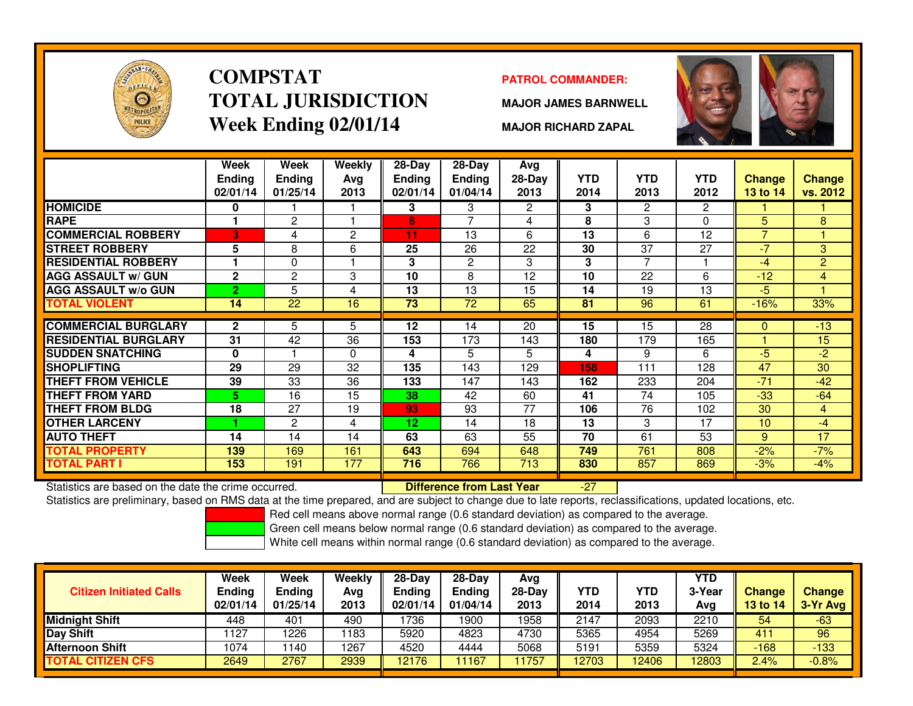

### **COMPSTATTOTAL JURISDICTIONWeek Ending 02/01/14**

### **PATROL COMMANDER:**

**MAJOR JAMES BARNWELL**



**MAJOR RICHARD ZAPAL**

|                                                      | Week<br><b>Ending</b><br>02/01/14 | Week<br><b>Ending</b><br>01/25/14 | <b>Weekly</b><br>Avg<br>2013 | $28 - Day$<br>Ending<br>02/01/14 | $28 - Day$<br><b>Ending</b><br>01/04/14 | <b>Avg</b><br>28-Day<br>2013 | <b>YTD</b><br>2014 | <b>YTD</b><br>2013 | <b>YTD</b><br>2012 | Change<br><b>13 to 14</b> | <b>Change</b><br>vs. 2012 |
|------------------------------------------------------|-----------------------------------|-----------------------------------|------------------------------|----------------------------------|-----------------------------------------|------------------------------|--------------------|--------------------|--------------------|---------------------------|---------------------------|
| <b>HOMICIDE</b>                                      | 0                                 |                                   |                              | 3                                | 3                                       | $\overline{2}$               | 3                  | $\overline{2}$     | 2                  |                           |                           |
| <b>RAPE</b>                                          |                                   | $\overline{c}$                    |                              | 8                                | 7                                       | 4                            | 8                  | 3                  | 0                  | 5                         | 8                         |
| <b>COMMERCIAL ROBBERY</b>                            | 3                                 | 4                                 | $\mathbf{2}$                 | 11                               | 13                                      | 6                            | 13                 | 6                  | 12                 | 7                         |                           |
| <b>STREET ROBBERY</b>                                | 5                                 | 8                                 | 6                            | 25                               | 26                                      | 22                           | 30                 | 37                 | 27                 | -7                        | 3                         |
| <b>RESIDENTIAL ROBBERY</b>                           |                                   | 0                                 |                              | 3                                | 2                                       | 3                            | 3                  | 7                  |                    | $-4$                      | $\overline{2}$            |
| <b>AGG ASSAULT w/ GUN</b>                            | $\mathbf{2}$                      | $\overline{c}$                    | 3                            | 10                               | 8                                       | 12                           | 10                 | 22                 | 6                  | $-12$                     | 4                         |
| <b>AGG ASSAULT w/o GUN</b>                           | $\overline{2}$                    | 5                                 | 4                            | 13                               | 13                                      | 15                           | 14                 | 19                 | 13                 | $-5$                      |                           |
| TOTAL VIOLENT                                        | 14                                | 22                                | 16                           | 73                               | 72                                      | 65                           | 81                 | 96                 | 61                 | $-16%$                    | 33%                       |
|                                                      |                                   |                                   |                              |                                  |                                         |                              |                    |                    |                    |                           |                           |
| <b>COMMERCIAL BURGLARY</b>                           | $\overline{2}$                    | 5                                 | 5                            | 12                               | 14                                      | 20                           | 15                 | 15                 | 28                 | $\Omega$                  | $-13$                     |
| <b>RESIDENTIAL BURGLARY</b>                          | 31                                | 42                                | 36                           | 153                              | 173                                     | 143                          | 180                | 179                | 165                |                           | 15                        |
| <b>SUDDEN SNATCHING</b>                              | $\bf{0}$                          |                                   | $\mathbf{0}$                 | 4                                | 5                                       | 5                            | 4                  | 9                  | 6                  | $-5$                      | $-2$                      |
| SHOPLIFTING                                          | 29                                | 29                                | 32                           | 135                              | 143                                     | 129                          | 158                | 111                | 128                | 47                        | 30                        |
| <b>THEFT FROM VEHICLE</b>                            | 39                                | 33                                | 36                           | 133                              | 147                                     | 143                          | 162                | 233                | 204                | $-71$                     | $-42$                     |
| <b>THEFT FROM YARD</b>                               | 5.                                | 16                                | 15                           | 38                               | 42                                      | 60                           | 41                 | 74                 | 105                | $-33$                     | $-64$                     |
| <b>THEFT FROM BLDG</b>                               | 18                                | 27                                | 19                           | 93                               | 93                                      | 77                           | 106                | 76                 | 102                | 30                        | $\overline{4}$            |
| <b>OTHER LARCENY</b>                                 |                                   | 2                                 | 4                            | 12                               | 14                                      | 18                           | 13                 | 3                  | 17                 | 10                        | $-4$                      |
| <b>AUTO THEFT</b>                                    | 14                                | 14                                | 14                           | 63                               | 63                                      | 55                           | 70                 | 61                 | $\overline{53}$    | 9                         | $\overline{17}$           |
| <b>TOTAL PROPERTY</b>                                | 139                               | 169                               | 161                          | 643                              | 694                                     | 648                          | 749                | 761                | 808                | $-2%$                     | $-7%$                     |
| TOTAL PART I                                         | 153                               | 191                               | 177                          | 716                              | 766                                     | 713                          | 830                | 857                | 869                | $-3%$                     | $-4%$                     |
| Statistics are based on the date the crime occurred. |                                   |                                   |                              |                                  | <b>Difference from Last Year</b>        |                              | $-27$              |                    |                    |                           |                           |

Statistics are based on the date the crime occurred. **Difference from Last Year** 

Statistics are preliminary, based on RMS data at the time prepared, and are subject to change due to late reports, reclassifications, updated locations, etc.

Red cell means above normal range (0.6 standard deviation) as compared to the average.

Green cell means below normal range (0.6 standard deviation) as compared to the average.

| <b>Citizen Initiated Calls</b> | Week<br>Ending<br>02/01/14 | <b>Week</b><br><b>Ending</b><br>01/25/14 | Weekly<br>Avg<br>2013 | 28-Day<br><b>Ending</b><br>02/01/14 | $28-Day$<br><b>Ending</b><br>01/04/14 | Avg<br>28-Dav<br>2013 | YTD<br>2014 | YTD<br>2013 | YTD<br>3-Year<br>Avg | <b>Change</b><br>13 to 14 | <b>Change</b><br>3-Yr Avg |
|--------------------------------|----------------------------|------------------------------------------|-----------------------|-------------------------------------|---------------------------------------|-----------------------|-------------|-------------|----------------------|---------------------------|---------------------------|
| <b>Midnight Shift</b>          | 448                        | 401                                      | 490                   | 1736                                | 1900                                  | 1958                  | 2147        | 2093        | 2210                 | 54                        | $-63$                     |
| Day Shift                      | 1127                       | 1226                                     | 1183                  | 5920                                | 4823                                  | 4730                  | 5365        | 4954        | 5269                 | 411                       | 96                        |
| <b>Afternoon Shift</b>         | 1074                       | 140                                      | 1267                  | 4520                                | 4444                                  | 5068                  | 5191        | 5359        | 5324                 | $-168$                    | $-133$                    |
| <b>TOTAL CITIZEN CFS</b>       | 2649                       | 2767                                     | 2939                  | 12176                               | 11167                                 | 1757                  | 12703       | 12406       | 12803                | 2.4%                      | $-0.8%$                   |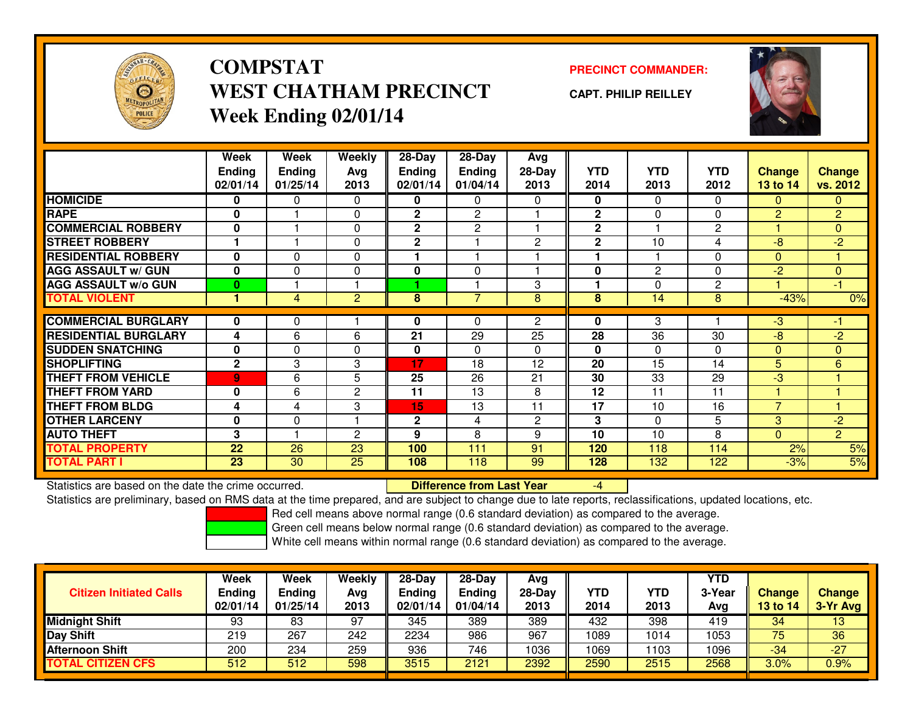

# **COMPSTATWEST CHATHAM PRECINCTWeek Ending 02/01/14**

### **PRECINCT COMMANDER:**

**CAPT. PHILIP REILLEY**



|                             | Week<br><b>Ending</b><br>02/01/14 | Week<br><b>Ending</b><br>01/25/14 | Weekly<br>Ava<br>2013 | $28-Day$<br><b>Ending</b><br>02/01/14 | $28$ -Day<br><b>Ending</b><br>01/04/14 | Avg<br>28-Day<br>2013 | <b>YTD</b><br>2014 | <b>YTD</b><br>2013 | <b>YTD</b><br>2012 | <b>Change</b><br><b>13 to 14</b> | Change<br>vs. 2012 |
|-----------------------------|-----------------------------------|-----------------------------------|-----------------------|---------------------------------------|----------------------------------------|-----------------------|--------------------|--------------------|--------------------|----------------------------------|--------------------|
| <b>HOMICIDE</b>             | 0                                 | 0                                 | 0                     | 0                                     | 0                                      | $\Omega$              | 0                  | $\Omega$           | $\Omega$           | $\mathbf{0}$                     | 0                  |
| <b>RAPE</b>                 | $\mathbf{0}$                      |                                   | 0                     | $\mathbf{2}$                          | $\mathbf{2}$                           |                       | $\mathbf{2}$       | $\mathbf{0}$       | $\Omega$           | 2                                | $\overline{2}$     |
| <b>COMMERCIAL ROBBERY</b>   | $\mathbf{0}$                      |                                   | 0                     | $\mathbf{2}$                          | 2                                      |                       | $\mathbf{2}$       |                    | 2                  |                                  | $\overline{0}$     |
| <b>STREET ROBBERY</b>       |                                   |                                   | 0                     | 2                                     |                                        | $\overline{2}$        | $\mathbf 2$        | 10                 | 4                  | $-8$                             | $-2$               |
| <b>RESIDENTIAL ROBBERY</b>  | $\bf{0}$                          | $\Omega$                          | 0                     |                                       |                                        |                       | ۰                  |                    | $\Omega$           | $\Omega$                         |                    |
| <b>AGG ASSAULT w/ GUN</b>   | $\bf{0}$                          | $\Omega$                          | 0                     | 0                                     | $\mathbf{0}$                           |                       | 0                  | 2                  | $\Omega$           | $-2$                             | $\overline{0}$     |
| <b>AGG ASSAULT w/o GUN</b>  | $\bf{0}$                          |                                   |                       |                                       |                                        | 3                     |                    | $\Omega$           | 2                  |                                  | -1                 |
| <b>TOTAL VIOLENT</b>        | и                                 | 4                                 | $\overline{c}$        | 8                                     | 7                                      | 8                     | 8                  | 14                 | 8                  | $-43%$                           | 0%                 |
|                             |                                   |                                   |                       |                                       |                                        |                       |                    |                    |                    |                                  |                    |
| <b>COMMERCIAL BURGLARY</b>  | 0                                 | 0                                 |                       | 0                                     | 0                                      | $\overline{2}$        | 0                  | 3                  |                    | $-3$                             | -1                 |
| <b>RESIDENTIAL BURGLARY</b> | 4                                 | 6                                 | 6                     | 21                                    | 29                                     | 25                    | 28                 | $\overline{36}$    | 30                 | $-8$                             | $-2$               |
| <b>SUDDEN SNATCHING</b>     | $\mathbf{0}$                      | 0                                 | 0                     | 0                                     | $\Omega$                               | $\Omega$              | $\bf{0}$           | $\mathbf{0}$       | $\Omega$           | $\Omega$                         | $\overline{0}$     |
| <b>SHOPLIFTING</b>          | $\mathbf{2}$                      | 3                                 | 3                     | 17                                    | 18                                     | 12                    | 20                 | 15                 | 14                 | 5                                | 6                  |
| <b>THEFT FROM VEHICLE</b>   | $\overline{9}$                    | 6                                 | 5                     | 25                                    | 26                                     | 21                    | 30                 | 33                 | 29                 | $-3$                             |                    |
| <b>THEFT FROM YARD</b>      | $\mathbf{0}$                      | 6                                 | 2                     | 11                                    | 13                                     | 8                     | 12                 | 11                 | 11                 |                                  |                    |
| <b>THEFT FROM BLDG</b>      | 4                                 | 4                                 | 3                     | 15                                    | 13                                     | 11                    | 17                 | 10                 | 16                 | $\overline{7}$                   |                    |
| <b>OTHER LARCENY</b>        | $\mathbf{0}$                      | 0                                 | н                     | $\mathbf{2}$                          | 4                                      | $\overline{2}$        | 3                  | $\mathbf{0}$       | 5                  | 3                                | $-2$               |
| <b>AUTO THEFT</b>           | 3                                 |                                   | 2                     | 9                                     | 8                                      | 9                     | 10                 | 10                 | 8                  | $\Omega$                         | $\overline{2}$     |
| <b>TOTAL PROPERTY</b>       | 22                                | 26                                | 23                    | 100                                   | 111                                    | 91                    | 120                | 118                | 114                | 2%                               | 5%                 |
| <b>TOTAL PART I</b>         | 23                                | 30                                | 25                    | 108                                   | 118                                    | 99                    | 128                | 132                | 122                | $-3%$                            | 5%                 |

Statistics are based on the date the crime occurred. **Difference from Last Year** 

Statistics are based on the date the crime occurred.<br>Statistics are preliminary, based on RMS data at the time prepared, and are subject to change due to late reports, reclassifications, updated locations, etc.

Red cell means above normal range (0.6 standard deviation) as compared to the average.

Green cell means below normal range (0.6 standard deviation) as compared to the average.

| <b>Citizen Initiated Calls</b> | Week<br><b>Ending</b><br>02/01/14 | Week<br>Ending<br>01/25/14 | Weekly<br>Avg<br>2013 | $28-Day$<br><b>Ending</b><br>02/01/14 | $28-Day$<br><b>Ending</b><br>01/04/14 | Avg<br>28-Day<br>2013 | YTD<br>2014 | YTD<br>2013 | <b>YTD</b><br>3-Year<br>Avg | <b>Change</b><br>13 to 14 | <b>Change</b><br>3-Yr Avg |
|--------------------------------|-----------------------------------|----------------------------|-----------------------|---------------------------------------|---------------------------------------|-----------------------|-------------|-------------|-----------------------------|---------------------------|---------------------------|
| Midnight Shift                 | 93                                | 83                         | 97                    | 345                                   | 389                                   | 389                   | 432         | 398         | 419                         | 34                        | 13                        |
| Day Shift                      | 219                               | 267                        | 242                   | 2234                                  | 986                                   | 967                   | 1089        | 1014        | 1053                        | 75                        | 36                        |
| <b>Afternoon Shift</b>         | 200                               | 234                        | 259                   | 936                                   | 746                                   | 1036                  | 1069        | 103         | 1096                        | -34                       | $-27$                     |
| <b>TOTAL CITIZEN CFS</b>       | 512                               | 512                        | 598                   | 3515                                  | 2121                                  | 2392                  | 2590        | 2515        | 2568                        | 3.0%                      | 0.9%                      |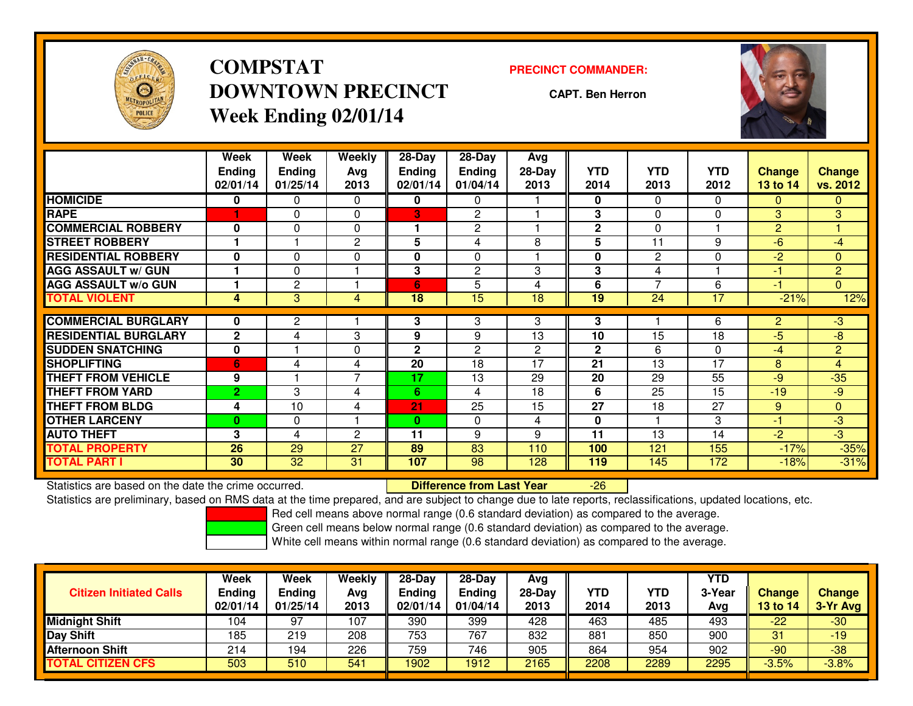

# **COMPSTATDOWNTOWN PRECINCTWeek Ending 02/01/14**

#### **PRECINCT COMMANDER:**

**CAPT. Ben Herron**



|                             | Week<br><b>Endina</b><br>02/01/14 | Week<br><b>Ending</b><br>01/25/14 | Weekly<br>Avg<br>2013 | 28-Day<br>Endina<br>02/01/14 | 28-Day<br><b>Ending</b><br>01/04/14 | Avg<br>28-Day<br>2013 | <b>YTD</b><br>2014 | <b>YTD</b><br>2013 | <b>YTD</b><br>2012 | <b>Change</b><br><b>13 to 14</b> | <b>Change</b><br>vs. 2012 |
|-----------------------------|-----------------------------------|-----------------------------------|-----------------------|------------------------------|-------------------------------------|-----------------------|--------------------|--------------------|--------------------|----------------------------------|---------------------------|
| <b>HOMICIDE</b>             | 0                                 | 0                                 | $\Omega$              | 0                            | $\mathbf{0}$                        |                       | 0                  | $\Omega$           | 0                  | $\mathbf{0}$                     | $\mathbf{0}$              |
| <b>RAPE</b>                 |                                   | $\Omega$                          | $\Omega$              | 3                            | $\overline{2}$                      |                       | 3                  | $\Omega$           | 0                  | 3                                | 3                         |
| <b>COMMERCIAL ROBBERY</b>   | $\bf{0}$                          | $\Omega$                          | $\mathbf{0}$          |                              | $\mathbf{2}$                        |                       | $\mathbf{2}$       | $\Omega$           |                    | $\overline{2}$                   |                           |
| <b>STREET ROBBERY</b>       |                                   |                                   | 2                     | 5                            | 4                                   | 8                     | 5                  | 11                 | 9                  | -6                               | $-4$                      |
| <b>RESIDENTIAL ROBBERY</b>  | $\bf{0}$                          | $\Omega$                          | $\Omega$              | 0                            | $\Omega$                            |                       | $\bf{0}$           | 2                  | 0                  | $-2$                             | $\Omega$                  |
| <b>AGG ASSAULT w/ GUN</b>   |                                   | 0                                 |                       | 3                            | $\overline{2}$                      | 3                     | 3                  | 4                  |                    | -1                               | $\overline{2}$            |
| <b>AGG ASSAULT w/o GUN</b>  |                                   | 2                                 |                       | 6                            | 5                                   | 4                     | 6                  | 7                  | 6                  | -1                               | $\Omega$                  |
| <b>TOTAL VIOLENT</b>        | 4                                 | 3                                 | 4                     | 18                           | 15                                  | 18                    | 19                 | 24                 | 17                 | $-21%$                           | 12%                       |
|                             |                                   |                                   |                       |                              |                                     |                       |                    |                    |                    |                                  |                           |
| <b>COMMERCIAL BURGLARY</b>  | 0                                 | $\mathbf{2}$                      |                       | 3                            | 3                                   | 3                     | 3                  |                    | 6                  | $\overline{2}$                   | $-3$                      |
| <b>RESIDENTIAL BURGLARY</b> | $\mathbf{2}$                      | 4                                 | 3                     | 9                            | 9                                   | 13                    | 10                 | 15                 | 18                 | -5                               | -8                        |
| <b>SUDDEN SNATCHING</b>     | 0                                 |                                   | 0                     | 2                            | $\mathbf{2}$                        | $\mathbf{2}$          | $\mathbf 2$        | 6                  | 0                  | $-4$                             | $\overline{2}$            |
| <b>SHOPLIFTING</b>          | 6                                 | 4                                 | 4                     | 20                           | 18                                  | 17                    | 21                 | 13                 | 17                 | 8                                | $\overline{4}$            |
| <b>THEFT FROM VEHICLE</b>   | 9                                 |                                   | $\overline{7}$        | 17                           | 13                                  | 29                    | 20                 | 29                 | 55                 | -9                               | $-35$                     |
| <b>THEFT FROM YARD</b>      | $\mathbf{2}$                      | 3                                 | 4                     | 6.                           | 4                                   | 18                    | 6                  | 25                 | 15                 | $-19$                            | $-9$                      |
| <b>THEFT FROM BLDG</b>      | 4                                 | 10                                | 4                     | 21                           | 25                                  | 15                    | $\overline{27}$    | 18                 | 27                 | 9                                | $\Omega$                  |
| <b>OTHER LARCENY</b>        | $\mathbf{0}$                      | 0                                 |                       | $\bf{0}$                     | 0                                   | 4                     | 0                  |                    | 3                  | $-1$                             | $-3$                      |
| <b>AUTO THEFT</b>           | 3                                 | 4                                 | $\mathbf{c}$          | 11                           | 9                                   | 9                     | 11                 | 13                 | 14                 | $-2$                             | $-3$                      |
| <b>TOTAL PROPERTY</b>       | 26                                | 29                                | 27                    | 89                           | 83                                  | 110                   | 100                | 121                | 155                | $-17%$                           | $-35%$                    |
| <b>TOTAL PART I</b>         | 30                                | 32                                | 31                    | 107                          | 98                                  | 128                   | 119                | 145                | 172                | $-18%$                           | $-31%$                    |

Statistics are based on the date the crime occurred. **Difference from Last Year** 

Statistics are based on the date the crime occurred.<br>Statistics are preliminary, based on RMS data at the time prepared, and are subject to change due to late reports, reclassifications, updated locations, etc.

Red cell means above normal range (0.6 standard deviation) as compared to the average.

Green cell means below normal range (0.6 standard deviation) as compared to the average.

| <b>Citizen Initiated Calls</b> | Week<br><b>Ending</b><br>02/01/14 | Week<br><b>Ending</b><br>01/25/14 | Weekly<br>Avg<br>2013 | $28-Day$<br><b>Ending</b><br>02/01/14 | 28-Day<br>Ending<br>01/04/14 | Avg<br>28-Day<br>2013 | <b>YTD</b><br>2014 | YTD<br>2013 | YTD<br>3-Year<br>Avg | <b>Change</b><br>13 to 14 | <b>Change</b><br>3-Yr Avg |
|--------------------------------|-----------------------------------|-----------------------------------|-----------------------|---------------------------------------|------------------------------|-----------------------|--------------------|-------------|----------------------|---------------------------|---------------------------|
| <b>Midnight Shift</b>          | 104                               | 97                                | 107                   | 390                                   | 399                          | 428                   | 463                | 485         | 493                  | $-22$                     | $-30$                     |
| <b>Day Shift</b>               | 185                               | 219                               | 208                   | 753                                   | 767                          | 832                   | 881                | 850         | 900                  | 31                        | $-19$                     |
| <b>Afternoon Shift</b>         | 214                               | 194                               | 226                   | 759                                   | 746                          | 905                   | 864                | 954         | 902                  | $-90$                     | $-38$                     |
| <b>TOTAL CITIZEN CFS</b>       | 503                               | 510                               | 541                   | 1902                                  | 1912                         | 2165                  | 2208               | 2289        | 2295                 | $-3.5%$                   | $-3.8%$                   |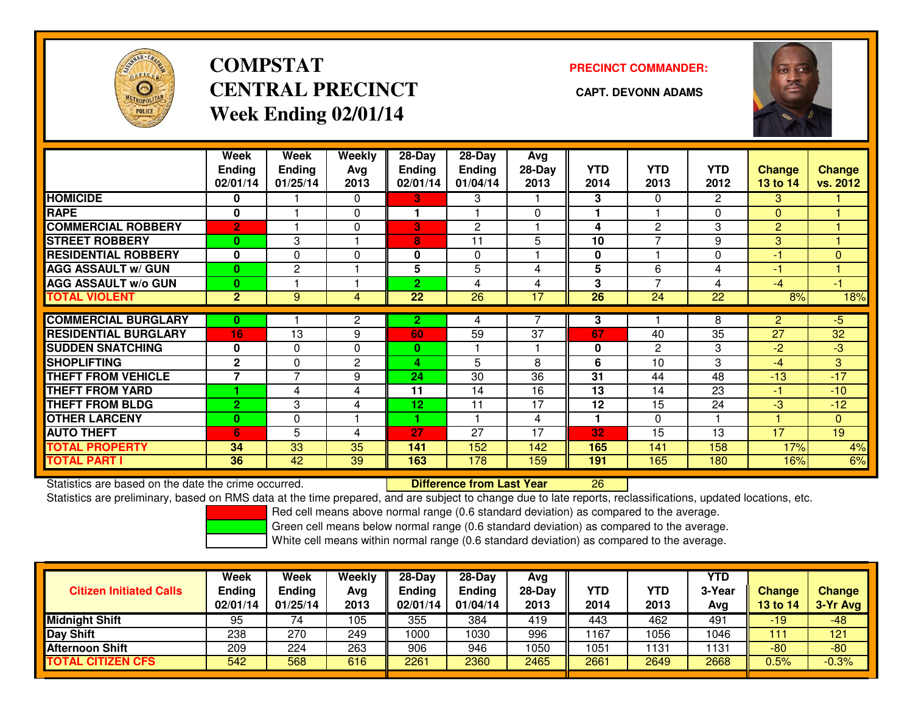

# **COMPSTATCENTRAL PRECINCT** CAPT. DEVONN ADAMS **Week Ending 02/01/14**

### **PRECINCT COMMANDER:**



|                             | Week<br><b>Ending</b><br>02/01/14 | Week<br><b>Ending</b><br>01/25/14 | Weekly<br>Avg<br>2013 | 28-Day<br><b>Ending</b><br>02/01/14 | 28-Day<br><b>Ending</b><br>01/04/14 | Avg<br>$28-Day$<br>2013 | <b>YTD</b><br>2014 | <b>YTD</b><br>2013       | <b>YTD</b><br>2012 | Change<br>13 to 14 | <b>Change</b><br>vs. 2012 |
|-----------------------------|-----------------------------------|-----------------------------------|-----------------------|-------------------------------------|-------------------------------------|-------------------------|--------------------|--------------------------|--------------------|--------------------|---------------------------|
| <b>HOMICIDE</b>             | 0                                 |                                   | $\Omega$              | 3                                   | 3                                   |                         | 3                  | $\mathbf{0}$             | $\overline{2}$     | 3                  |                           |
| <b>RAPE</b>                 | 0                                 |                                   | 0                     |                                     |                                     | $\Omega$                |                    |                          | 0                  | $\Omega$           |                           |
| <b>COMMERCIAL ROBBERY</b>   | $\overline{2}$                    |                                   | 0                     | 3                                   | $\mathbf{2}$                        |                         | 4                  | 2                        | 3                  | 2                  |                           |
| <b>STREET ROBBERY</b>       | $\bf{0}$                          | 3                                 |                       | 8                                   | 11                                  | 5                       | 10                 | $\overline{ }$           | 9                  | 3                  |                           |
| <b>RESIDENTIAL ROBBERY</b>  | $\mathbf 0$                       | $\Omega$                          | $\mathbf{0}$          | 0                                   | $\Omega$                            |                         | 0                  |                          | 0                  | $-1$               | $\Omega$                  |
| <b>AGG ASSAULT W/ GUN</b>   | $\bf{0}$                          | $\mathbf{2}$                      |                       | 5                                   | 5                                   | 4                       | 5                  | 6                        | 4                  | $-1$               |                           |
| <b>AGG ASSAULT w/o GUN</b>  | $\bf{0}$                          |                                   |                       | $\overline{2}$                      | 4                                   | 4                       | 3                  | $\overline{\phantom{a}}$ | 4                  | $-4$               | $-1$                      |
| <b>TOTAL VIOLENT</b>        | $\overline{2}$                    | 9                                 | 4                     | $\overline{22}$                     | $\overline{26}$                     | 17                      | $\overline{26}$    | $\overline{24}$          | $\overline{22}$    | 8%                 | 18%                       |
|                             |                                   |                                   |                       |                                     |                                     |                         |                    |                          |                    |                    |                           |
| <b>COMMERCIAL BURGLARY</b>  | 0                                 |                                   | 2                     | 2                                   | 4                                   |                         | 3                  |                          | 8                  | $\overline{2}$     | $-5$                      |
| <b>RESIDENTIAL BURGLARY</b> | 16                                | 13                                | 9                     | 60                                  | 59                                  | 37                      | 67                 | 40                       | $\overline{35}$    | 27                 | 32                        |
| <b>SUDDEN SNATCHING</b>     | $\mathbf 0$                       | 0                                 | 0                     | 0                                   |                                     |                         | 0                  | 2                        | 3                  | $-2$               | $-3$                      |
| <b>SHOPLIFTING</b>          | $\mathbf{2}$                      | $\Omega$                          | $\overline{2}$        | 4                                   | 5                                   | 8                       | 6                  | 10                       | 3                  | -4                 | 3                         |
| <b>THEFT FROM VEHICLE</b>   | 7                                 | $\overline{7}$                    | 9                     | 24                                  | 30                                  | 36                      | 31                 | 44                       | 48                 | $-13$              | $-17$                     |
| <b>THEFT FROM YARD</b>      |                                   | 4                                 | 4                     | 11                                  | 14                                  | 16                      | 13                 | 14                       | 23                 | $-1$               | $-10$                     |
| <b>THEFT FROM BLDG</b>      | $\overline{2}$                    | 3                                 | 4                     | 12                                  | 11                                  | 17                      | 12                 | 15                       | 24                 | -3                 | $-12$                     |
| <b>OTHER LARCENY</b>        | $\bf{0}$                          | $\Omega$                          |                       | 1                                   |                                     | 4                       | 1                  | $\mathbf{0}$             |                    |                    | $\Omega$                  |
| <b>AUTO THEFT</b>           | 6                                 | 5                                 | 4                     | 27                                  | 27                                  | 17                      | 32                 | 15                       | 13                 | 17                 | 19                        |
| <b>TOTAL PROPERTY</b>       | 34                                | 33                                | 35                    | 141                                 | 152                                 | 142                     | 165                | 141                      | 158                | 17%                | 4%                        |
| <b>TOTAL PART I</b>         | 36                                | 42                                | 39                    | 163                                 | 178                                 | 159                     | 191                | 165                      | 180                | 16%                | 6%                        |

Statistics are based on the date the crime occurred. **Difference from Last Year** 

Statistics are preliminary, based on RMS data at the time prepared, and are subject to change due to late reports, reclassifications, updated locations, etc.

Red cell means above normal range (0.6 standard deviation) as compared to the average.

Green cell means below normal range (0.6 standard deviation) as compared to the average.

<sup>26</sup>

| <b>Citizen Initiated Calls</b> | Week<br>Ending<br>02/01/14 | Week<br>Ending<br>01/25/14 | <b>Weekly</b><br>Avg<br>2013 | $28-Day$<br><b>Ending</b><br>02/01/14 | $28 - Day$<br><b>Ending</b><br>01/04/14 | Avg<br>28-Day<br>2013 | YTD<br>2014 | YTD<br>2013 | <b>YTD</b><br>3-Year<br>Avg | Change<br><b>13 to 14</b> | <b>Change</b><br>3-Yr Avg |
|--------------------------------|----------------------------|----------------------------|------------------------------|---------------------------------------|-----------------------------------------|-----------------------|-------------|-------------|-----------------------------|---------------------------|---------------------------|
| Midnight Shift                 | 95                         | 74                         | 105                          | 355                                   | 384                                     | 419                   | 443         | 462         | 491                         | $-19$                     | -48                       |
| Day Shift                      | 238                        | 270                        | 249                          | 1000                                  | 1030                                    | 996                   | 167         | 1056        | 1046                        | 111                       | 121                       |
| <b>Afternoon Shift</b>         | 209                        | 224                        | 263                          | 906                                   | 946                                     | 1050                  | 1051        | 1131        | 1131                        | $-80$                     | $-80$                     |
| <b>TOTAL CITIZEN CFS</b>       | 542                        | 568                        | 616                          | 2261                                  | 2360                                    | 2465                  | 2661        | 2649        | 2668                        | $0.5\%$                   | $-0.3%$                   |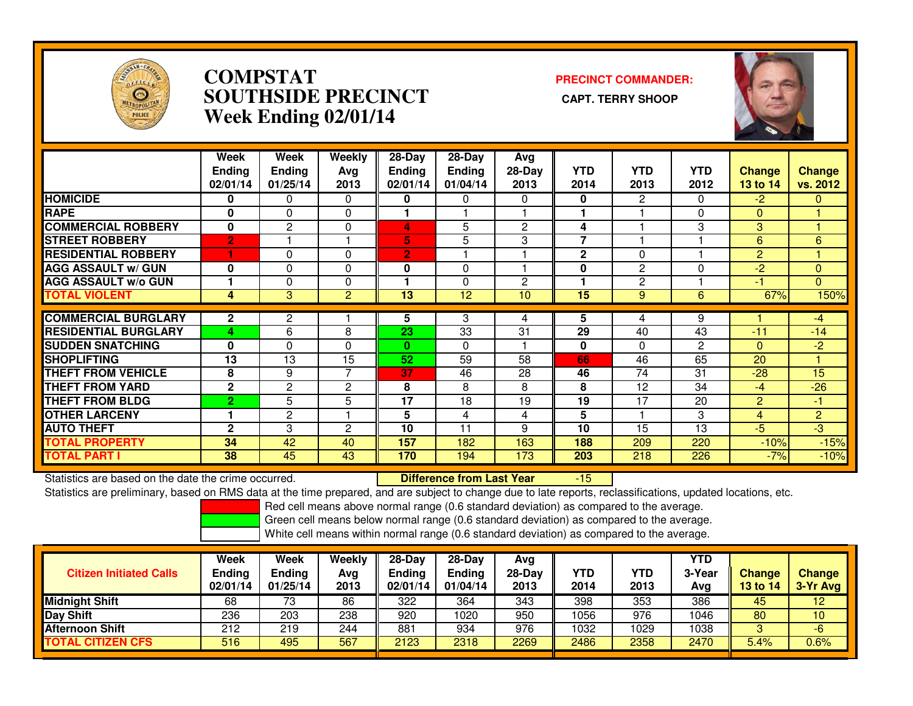

### **COMPSTAT PRECINCT COMMANDER: SOUTHSIDE PRECINCT CAPT. TERRY SHOOPWeek Ending 02/01/14**



|                             | Week           | Week           | Weekly         | $28-Day$       | $28 - Day$    | Avg            |                 |                |                |                |                |
|-----------------------------|----------------|----------------|----------------|----------------|---------------|----------------|-----------------|----------------|----------------|----------------|----------------|
|                             | <b>Ending</b>  | <b>Ending</b>  | Avg            | Endina         | <b>Ending</b> | $28-Day$       | <b>YTD</b>      | <b>YTD</b>     | <b>YTD</b>     | <b>Change</b>  | <b>Change</b>  |
|                             | 02/01/14       | 01/25/14       | 2013           | 02/01/14       | 01/04/14      | 2013           | 2014            | 2013           | 2012           | 13 to 14       | vs. 2012       |
| <b>HOMICIDE</b>             | 0              | 0              | $\Omega$       | 0              | $\Omega$      | $\Omega$       | 0               | $\overline{2}$ | 0              | $-2$           | $\mathbf{0}$   |
| <b>RAPE</b>                 | 0              | $\Omega$       | 0              |                |               |                |                 |                | 0              | $\mathbf{0}$   |                |
| <b>COMMERCIAL ROBBERY</b>   | $\bf{0}$       | $\overline{c}$ | 0              | 4              | 5             | $\overline{2}$ | 4               |                | 3              | 3              |                |
| <b>STREET ROBBERY</b>       | $\overline{2}$ |                |                | 5              | 5             | 3              | 7               |                |                | 6              | 6              |
| <b>RESIDENTIAL ROBBERY</b>  | 1              | $\Omega$       | $\Omega$       | $\overline{2}$ |               |                | $\mathbf{2}$    | $\Omega$       |                | $\overline{2}$ |                |
| <b>AGG ASSAULT w/ GUN</b>   | 0              | $\Omega$       | $\Omega$       | 0              | $\Omega$      |                | 0               | $\overline{2}$ | 0              | $-2$           | $\Omega$       |
| <b>AGG ASSAULT w/o GUN</b>  |                | $\Omega$       | 0              |                | $\Omega$      | $\overline{2}$ |                 | $\overline{2}$ |                | -1             | $\overline{0}$ |
| <b>TOTAL VIOLENT</b>        | 4              | 3              | $\overline{2}$ | 13             | 12            | 10             | $\overline{15}$ | 9              | 6              | 67%            | 150%           |
|                             |                |                |                |                |               |                |                 |                |                |                |                |
| <b>COMMERCIAL BURGLARY</b>  | $\mathbf{2}$   | 2              |                | 5              | 3             | 4              | 5               | 4              | 9              |                | $-4$           |
| <b>RESIDENTIAL BURGLARY</b> | 4              | 6              | 8              | 23             | 33            | 31             | 29              | 40             | 43             | $-11$          | $-14$          |
| <b>SUDDEN SNATCHING</b>     | $\bf{0}$       | $\Omega$       | $\Omega$       | $\mathbf{0}$   | $\Omega$      |                | $\mathbf{0}$    | $\Omega$       | $\overline{c}$ | $\Omega$       | $-2$           |
| <b>SHOPLIFTING</b>          | 13             | 13             | 15             | 52             | 59            | 58             | 66              | 46             | 65             | 20             |                |
| <b>THEFT FROM VEHICLE</b>   | 8              | 9              | 7              | 37             | 46            | 28             | 46              | 74             | 31             | $-28$          | 15             |
| <b>THEFT FROM YARD</b>      | $\mathbf{2}$   | 2              | 2              | 8              | 8             | 8              | 8               | 12             | 34             | $-4$           | $-26$          |
| <b>THEFT FROM BLDG</b>      | $\overline{2}$ | 5              | 5              | 17             | 18            | 19             | 19              | 17             | 20             | $\overline{2}$ | $-1$           |
| <b>OTHER LARCENY</b>        |                | 2              |                | 5              | 4             | 4              | 5               |                | 3              | 4              | $\overline{2}$ |
| <b>AUTO THEFT</b>           | $\mathbf{2}$   | 3              | $\overline{2}$ | 10             | 11            | 9              | 10              | 15             | 13             | $-5$           | $-3$           |
| <b>TOTAL PROPERTY</b>       | 34             | 42             | 40             | 157            | 182           | 163            | 188             | 209            | 220            | $-10%$         | $-15%$         |
| <b>TOTAL PART I</b>         | 38             | 45             | 43             | 170            | 194           | 173            | 203             | 218            | 226            | $-7%$          | $-10%$         |

Statistics are based on the date the crime occurred. **Difference from Last Year** Statistics are based on the date the crime occurred. **Externee the Difference from Last Year Mate and Statistics**<br>Statistics are preliminary, based on RMS data at the time prepared, and are subject to change due to late re

Red cell means above normal range (0.6 standard deviation) as compared to the average.

Green cell means below normal range (0.6 standard deviation) as compared to the average.

| <b>Citizen Initiated Calls</b> | Week<br><b>Ending</b><br>02/01/14 | <b>Week</b><br>Ending<br>01/25/14 | Weekly<br>Avg<br>2013 | 28-Dav<br>Ending<br>02/01/14 | $28-Dav$<br><b>Ending</b><br>01/04/14 | Avg<br>$28-Day$<br>2013 | <b>YTD</b><br>2014 | YTD<br>2013 | <b>YTD</b><br>3-Year<br>Avg | <b>Change</b><br>13 to 14 | <b>Change</b><br>3-Yr Avg |
|--------------------------------|-----------------------------------|-----------------------------------|-----------------------|------------------------------|---------------------------------------|-------------------------|--------------------|-------------|-----------------------------|---------------------------|---------------------------|
| <b>Midnight Shift</b>          | 68                                | 73                                | 86                    | 322                          | 364                                   | 343                     | 398                | 353         | 386                         | 45                        | $12 \,$                   |
| Day Shift                      | 236                               | 203                               | 238                   | 920                          | 1020                                  | 950                     | 1056               | 976         | 1046                        | 80                        | 10                        |
| <b>Afternoon Shift</b>         | 212                               | 219                               | 244                   | 881                          | 934                                   | 976                     | 1032               | 1029        | 1038                        |                           | -6                        |
| <b>CITIZEN CFS</b><br>ΓΟΤΑL    | 516                               | 495                               | 567                   | 2123                         | 2318                                  | 2269                    | 2486               | 2358        | 2470                        | 5.4%                      | 0.6%                      |